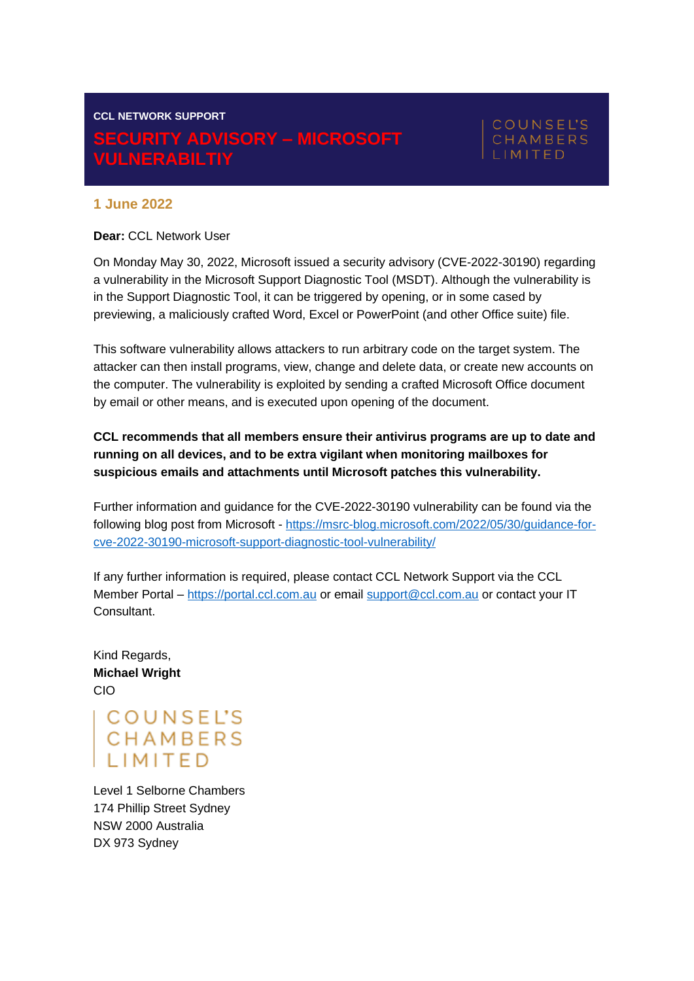# **CCL NETWORK SUPPORT SECURITY ADVISORY – MICROSOFT VULNERABILTIY**

# **COUNSEL'S** CHAMBERS IMITED

## **1 June 2022**

#### **Dear:** CCL Network User

On Monday May 30, 2022, Microsoft issued a security advisory (CVE-2022-30190) regarding a vulnerability in the Microsoft Support Diagnostic Tool (MSDT). Although the vulnerability is in the Support Diagnostic Tool, it can be triggered by opening, or in some cased by previewing, a maliciously crafted Word, Excel or PowerPoint (and other Office suite) file.

This software vulnerability allows attackers to run arbitrary code on the target system. The attacker can then install programs, view, change and delete data, or create new accounts on the computer. The vulnerability is exploited by sending a crafted Microsoft Office document by email or other means, and is executed upon opening of the document.

## **CCL recommends that all members ensure their antivirus programs are up to date and running on all devices, and to be extra vigilant when monitoring mailboxes for suspicious emails and attachments until Microsoft patches this vulnerability.**

Further information and guidance for the CVE-2022-30190 vulnerability can be found via the following blog post from Microsoft - [https://msrc-blog.microsoft.com/2022/05/30/guidance-for](https://msrc-blog.microsoft.com/2022/05/30/guidance-for-cve-2022-30190-microsoft-support-diagnostic-tool-vulnerability/)[cve-2022-30190-microsoft-support-diagnostic-tool-vulnerability/](https://msrc-blog.microsoft.com/2022/05/30/guidance-for-cve-2022-30190-microsoft-support-diagnostic-tool-vulnerability/)

If any further information is required, please contact CCL Network Support via the CCL Member Portal – [https://portal.ccl.com.au](https://portal.ccl.com.au/) or email [support@ccl.com.au](mailto:support@ccl.com.au) or contact your IT Consultant.

Kind Regards, **Michael Wright** CIO

COUNSEL'S<br>CHAMBERS<br>LIMITED

Level 1 Selborne Chambers 174 Phillip Street Sydney NSW 2000 Australia DX 973 Sydney